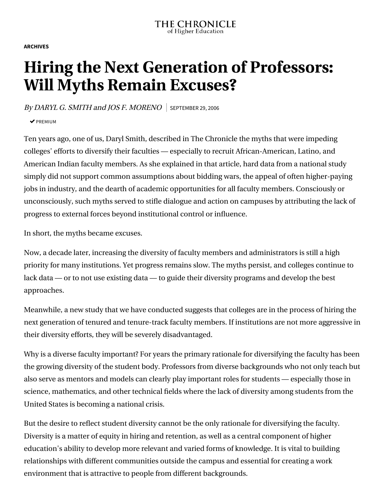**ARCHIVES**

## **Hiring the Next Generation of Professors: Will Myths Remain Excuses?**

By DARYL G. SMITH and JOS F. MORENO SEPTEMBER 29, 2006

 $\triangledown$  PREMIUM

Ten years ago, one of us, Daryl Smith, described in The Chronicle the myths that were impeding colleges' efforts to diversify their faculties — especially to recruit African-American, Latino, and American Indian faculty members. As she explained in that article, hard data from a national study simply did not support common assumptions about bidding wars, the appeal of often higher-paying jobs in industry, and the dearth of academic opportunities for all faculty members. Consciously or unconsciously, such myths served to stifle dialogue and action on campuses by attributing the lack of progress to external forces beyond institutional control or influence.

In short, the myths became excuses.

Now, a decade later, increasing the diversity of faculty members and administrators is still a high priority for many institutions. Yet progress remains slow. The myths persist, and colleges continue to lack data — or to not use existing data — to guide their diversity programs and develop the best approaches.

Meanwhile, a new study that we have conducted suggests that colleges are in the process of hiring the next generation of tenured and tenure-track faculty members. If institutions are not more aggressive in their diversity efforts, they will be severely disadvantaged.

Why is a diverse faculty important? For years the primary rationale for diversifying the faculty has been the growing diversity of the student body. Professors from diverse backgrounds who not only teach but also serve as mentors and models can clearly play important roles for students — especially those in science, mathematics, and other technical fields where the lack of diversity among students from the United States is becoming a national crisis.

But the desire to reflect student diversity cannot be the only rationale for diversifying the faculty. Diversity is a matter of equity in hiring and retention, as well as a central component of higher education's ability to develop more relevant and varied forms of knowledge. It is vital to building relationships with different communities outside the campus and essential for creating a work environment that is attractive to people from different backgrounds.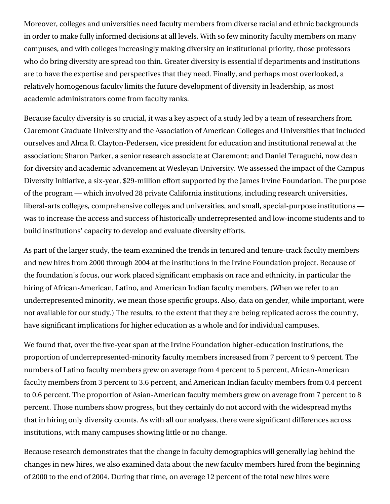Moreover, colleges and universities need faculty members from diverse racial and ethnic backgrounds in order to make fully informed decisions at all levels. With so few minority faculty members on many campuses, and with colleges increasingly making diversity an institutional priority, those professors who do bring diversity are spread too thin. Greater diversity is essential if departments and institutions are to have the expertise and perspectives that they need. Finally, and perhaps most overlooked, a relatively homogenous faculty limits the future development of diversity in leadership, as most academic administrators come from faculty ranks.

Because faculty diversity is so crucial, it was a key aspect of a study led by a team of researchers from Claremont Graduate University and the Association of American Colleges and Universities that included ourselves and Alma R. Clayton-Pedersen, vice president for education and institutional renewal at the association; Sharon Parker, a senior research associate at Claremont; and Daniel Teraguchi, now dean for diversity and academic advancement at Wesleyan University. We assessed the impact of the Campus Diversity Initiative, a six-year, \$29-million effort supported by the James Irvine Foundation. The purpose of the program — which involved 28 private California institutions, including research universities, liberal-arts colleges, comprehensive colleges and universities, and small, special-purpose institutions was to increase the access and success of historically underrepresented and low-income students and to build institutions' capacity to develop and evaluate diversity efforts.

As part of the larger study, the team examined the trends in tenured and tenure-track faculty members and new hires from 2000 through 2004 at the institutions in the Irvine Foundation project. Because of the foundation's focus, our work placed significant emphasis on race and ethnicity, in particular the hiring of African-American, Latino, and American Indian faculty members. (When we refer to an underrepresented minority, we mean those specific groups. Also, data on gender, while important, were not available for our study.) The results, to the extent that they are being replicated across the country, have significant implications for higher education as a whole and for individual campuses.

We found that, over the five-year span at the Irvine Foundation higher-education institutions, the proportion of underrepresented-minority faculty members increased from 7 percent to 9 percent. The numbers of Latino faculty members grew on average from 4 percent to 5 percent, African-American faculty members from 3 percent to 3.6 percent, and American Indian faculty members from 0.4 percent to 0.6 percent. The proportion of Asian-American faculty members grew on average from 7 percent to 8 percent. Those numbers show progress, but they certainly do not accord with the widespread myths that in hiring only diversity counts. As with all our analyses, there were significant differences across institutions, with many campuses showing little or no change.

Because research demonstrates that the change in faculty demographics will generally lag behind the changes in new hires, we also examined data about the new faculty members hired from the beginning of 2000 to the end of 2004. During that time, on average 12 percent of the total new hires were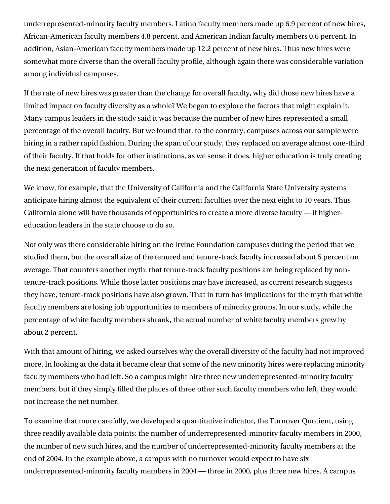underrepresented-minority faculty members. Latino faculty members made up 6.9 percent of new hires, African-American faculty members 4.8 percent, and American Indian faculty members 0.6 percent. In addition, Asian-American faculty members made up 12.2 percent of new hires. Thus new hires were somewhat more diverse than the overall faculty profile, although again there was considerable variation among individual campuses.

If the rate of new hires was greater than the change for overall faculty, why did those new hires have a limited impact on faculty diversity as a whole? We began to explore the factors that might explain it. Many campus leaders in the study said it was because the number of new hires represented a small percentage of the overall faculty. But we found that, to the contrary, campuses across our sample were hiring in a rather rapid fashion. During the span of our study, they replaced on average almost one-third of their faculty. If that holds for other institutions, as we sense it does, higher education is truly creating the next generation of faculty members.

We know, for example, that the University of California and the California State University systems anticipate hiring almost the equivalent of their current faculties over the next eight to 10 years. Thus California alone will have thousands of opportunities to create a more diverse faculty — if highereducation leaders in the state choose to do so.

Not only was there considerable hiring on the Irvine Foundation campuses during the period that we studied them, but the overall size of the tenured and tenure-track faculty increased about 5 percent on average. That counters another myth: that tenure-track faculty positions are being replaced by nontenure-track positions. While those latter positions may have increased, as current research suggests they have, tenure-track positions have also grown. That in turn has implications for the myth that white faculty members are losing job opportunities to members of minority groups. In our study, while the percentage of white faculty members shrank, the actual number of white faculty members grew by about 2 percent.

With that amount of hiring, we asked ourselves why the overall diversity of the faculty had not improved more. In looking at the data it became clear that some of the new minority hires were replacing minority faculty members who had left. So a campus might hire three new underrepresented-minority faculty members, but if they simply filled the places of three other such faculty members who left, they would not increase the net number.

To examine that more carefully, we developed a quantitative indicator, the Turnover Quotient, using three readily available data points: the number of underrepresented-minority faculty members in 2000, the number of new such hires, and the number of underrepresented-minority faculty members at the end of 2004. In the example above, a campus with no turnover would expect to have six underrepresented-minority faculty members in 2004 — three in 2000, plus three new hires. A campus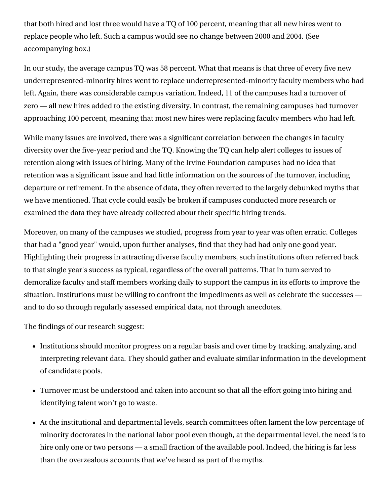that both hired and lost three would have a TQ of 100 percent, meaning that all new hires went to replace people who left. Such a campus would see no change between 2000 and 2004. (See accompanying box.)

In our study, the average campus TQ was 58 percent. What that means is that three of every five new underrepresented-minority hires went to replace underrepresented-minority faculty members who had left. Again, there was considerable campus variation. Indeed, 11 of the campuses had a turnover of zero — all new hires added to the existing diversity. In contrast, the remaining campuses had turnover approaching 100 percent, meaning that most new hires were replacing faculty members who had left.

While many issues are involved, there was a significant correlation between the changes in faculty diversity over the five-year period and the TQ. Knowing the TQ can help alert colleges to issues of retention along with issues of hiring. Many of the Irvine Foundation campuses had no idea that retention was a significant issue and had little information on the sources of the turnover, including departure or retirement. In the absence of data, they often reverted to the largely debunked myths that we have mentioned. That cycle could easily be broken if campuses conducted more research or examined the data they have already collected about their specific hiring trends.

Moreover, on many of the campuses we studied, progress from year to year was often erratic. Colleges that had a "good year" would, upon further analyses, find that they had had only one good year. Highlighting their progress in attracting diverse faculty members, such institutions often referred back to that single year's success as typical, regardless of the overall patterns. That in turn served to demoralize faculty and staff members working daily to support the campus in its efforts to improve the situation. Institutions must be willing to confront the impediments as well as celebrate the successes and to do so through regularly assessed empirical data, not through anecdotes.

The findings of our research suggest:

- Institutions should monitor progress on a regular basis and over time by tracking, analyzing, and interpreting relevant data. They should gather and evaluate similar information in the development of candidate pools.
- Turnover must be understood and taken into account so that all the effort going into hiring and identifying talent won't go to waste.
- At the institutional and departmental levels, search committees often lament the low percentage of minority doctorates in the national labor pool even though, at the departmental level, the need is to hire only one or two persons — a small fraction of the available pool. Indeed, the hiring is far less than the overzealous accounts that we've heard as part of the myths.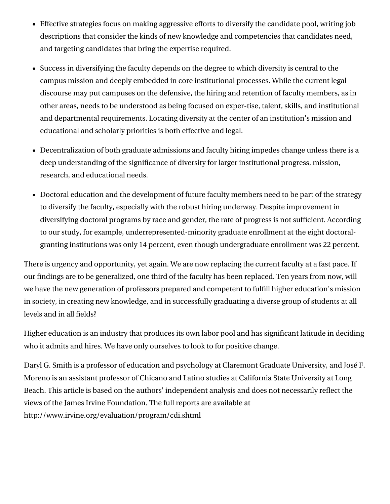- Effective strategies focus on making aggressive efforts to diversify the candidate pool, writing job descriptions that consider the kinds of new knowledge and competencies that candidates need, and targeting candidates that bring the expertise required.
- Success in diversifying the faculty depends on the degree to which diversity is central to the campus mission and deeply embedded in core institutional processes. While the current legal discourse may put campuses on the defensive, the hiring and retention of faculty members, as in other areas, needs to be understood as being focused on exper-tise, talent, skills, and institutional and departmental requirements. Locating diversity at the center of an institution's mission and educational and scholarly priorities is both effective and legal.
- Decentralization of both graduate admissions and faculty hiring impedes change unless there is a deep understanding of the significance of diversity for larger institutional progress, mission, research, and educational needs.
- Doctoral education and the development of future faculty members need to be part of the strategy to diversify the faculty, especially with the robust hiring underway. Despite improvement in diversifying doctoral programs by race and gender, the rate of progress is not sufficient. According to our study, for example, underrepresented-minority graduate enrollment at the eight doctoralgranting institutions was only 14 percent, even though undergraduate enrollment was 22 percent.

There is urgency and opportunity, yet again. We are now replacing the current faculty at a fast pace. If our findings are to be generalized, one third of the faculty has been replaced. Ten years from now, will we have the new generation of professors prepared and competent to fulfill higher education's mission in society, in creating new knowledge, and in successfully graduating a diverse group of students at all levels and in all fields?

Higher education is an industry that produces its own labor pool and has significant latitude in deciding who it admits and hires. We have only ourselves to look to for positive change.

Daryl G. Smith is a professor of education and psychology at Claremont Graduate University, and José F. Moreno is an assistant professor of Chicano and Latino studies at California State University at Long Beach. This article is based on the authors' independent analysis and does not necessarily reflect the views of the James Irvine Foundation. The full reports are available at http://www.irvine.org/evaluation/program/cdi.shtml